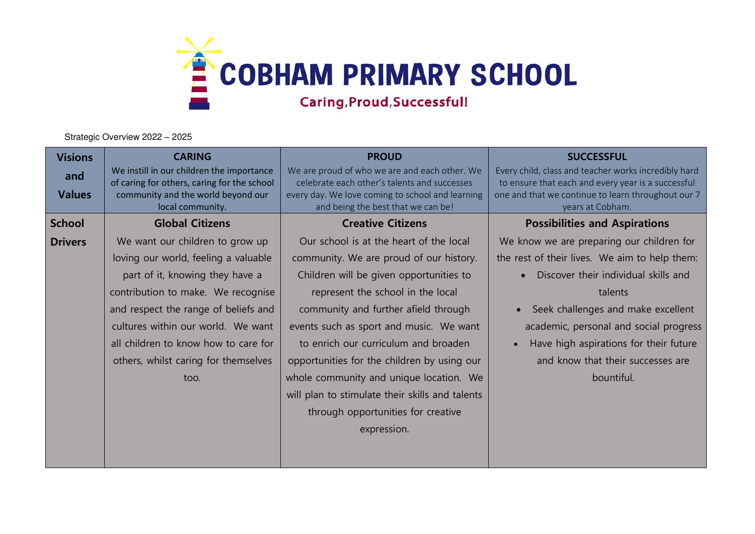

Strategic Overview 2022 – 2025

| <b>Visions</b> | <b>CARING</b>                                                                            | <b>PROUD</b>                                                                                  | <b>SUCCESSFUL</b>                                                                                          |
|----------------|------------------------------------------------------------------------------------------|-----------------------------------------------------------------------------------------------|------------------------------------------------------------------------------------------------------------|
| and            | We instill in our children the importance<br>of caring for others, caring for the school | We are proud of who we are and each other. We<br>celebrate each other's talents and successes | Every child, class and teacher works incredibly hard<br>to ensure that each and every year is a successful |
| <b>Values</b>  | community and the world beyond our<br>local community.                                   | every day. We love coming to school and learning<br>and being the best that we can be!        | one and that we continue to learn throughout our 7<br>years at Cobham.                                     |
| <b>School</b>  | <b>Global Citizens</b>                                                                   | <b>Creative Citizens</b>                                                                      | <b>Possibilities and Aspirations</b>                                                                       |
| <b>Drivers</b> | We want our children to grow up                                                          | Our school is at the heart of the local                                                       | We know we are preparing our children for                                                                  |
|                | loving our world, feeling a valuable                                                     | community. We are proud of our history.                                                       | the rest of their lives. We aim to help them:                                                              |
|                | part of it, knowing they have a                                                          | Children will be given opportunities to                                                       | Discover their individual skills and                                                                       |
|                | contribution to make. We recognise                                                       | represent the school in the local                                                             | talents                                                                                                    |
|                | and respect the range of beliefs and                                                     | community and further afield through                                                          | Seek challenges and make excellent<br>$\bullet$                                                            |
|                | cultures within our world. We want                                                       | events such as sport and music. We want                                                       | academic, personal and social progress                                                                     |
|                | all children to know how to care for                                                     | to enrich our curriculum and broaden                                                          | Have high aspirations for their future                                                                     |
|                | others, whilst caring for themselves                                                     | opportunities for the children by using our                                                   | and know that their successes are                                                                          |
|                | too.                                                                                     | whole community and unique location. We                                                       | bountiful.                                                                                                 |
|                |                                                                                          | will plan to stimulate their skills and talents                                               |                                                                                                            |
|                |                                                                                          | through opportunities for creative                                                            |                                                                                                            |
|                |                                                                                          | expression.                                                                                   |                                                                                                            |
|                |                                                                                          |                                                                                               |                                                                                                            |
|                |                                                                                          |                                                                                               |                                                                                                            |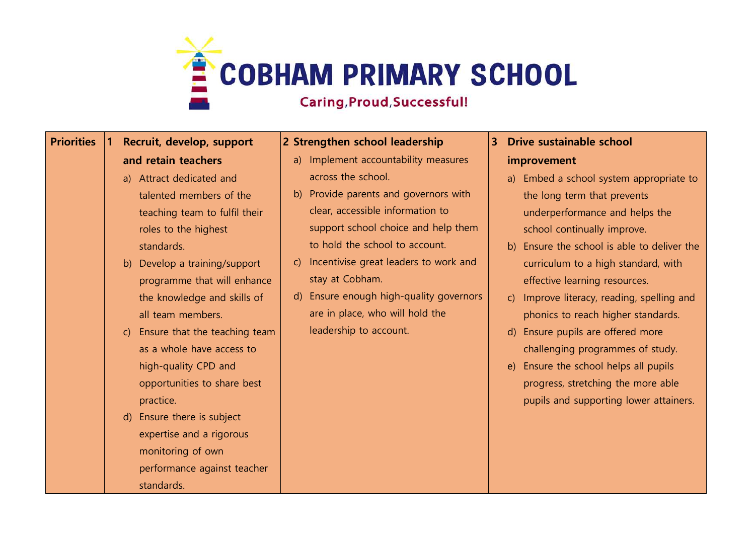

## **Priorities 1 Recruit, develop, support and retain teachers**

- a) Attract dedicated and talented members of the teaching team to fulfil their roles to the highest standards.
- b) Develop a training/support programme that will enhance the knowledge and skills of all team members.
- c) Ensure that the teaching team as a whole have access to high-quality CPD and opportunities to share best practice.
- d) Ensure there is subject expertise and a rigorous monitoring of own performance against teacher standards.

## **2 Strengthen school leadership**

- a) Implement accountability measures across the school.
- b) Provide parents and governors with clear, accessible information to support school choice and help them to hold the school to account.
- c) Incentivise great leaders to work and stay at Cobham.
- d) Ensure enough high-quality governors are in place, who will hold the leadership to account.

## **3 Drive sustainable school**

## **improvement**

- a) Embed a school system appropriate to the long term that prevents underperformance and helps the school continually improve.
- b) Ensure the school is able to deliver the curriculum to a high standard, with effective learning resources.
- c) Improve literacy, reading, spelling and phonics to reach higher standards.
- d) Ensure pupils are offered more challenging programmes of study.
- e) Ensure the school helps all pupils progress, stretching the more able pupils and supporting lower attainers.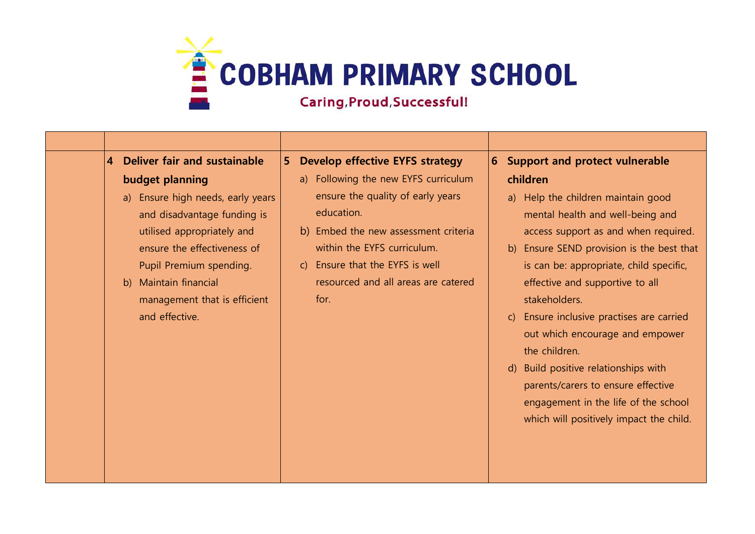

| Deliver fair and sustainable<br>$\overline{4}$                                                                                                                                                                                                         | 5 <sup>1</sup> | <b>Develop effective EYFS strategy</b>                                                                                                                                                                                                           | $\overline{6}$ | <b>Support and protect vulnerable</b>                                                                                                                                                                                                                                                                                                                                                                                                                                                                                                 |
|--------------------------------------------------------------------------------------------------------------------------------------------------------------------------------------------------------------------------------------------------------|----------------|--------------------------------------------------------------------------------------------------------------------------------------------------------------------------------------------------------------------------------------------------|----------------|---------------------------------------------------------------------------------------------------------------------------------------------------------------------------------------------------------------------------------------------------------------------------------------------------------------------------------------------------------------------------------------------------------------------------------------------------------------------------------------------------------------------------------------|
| budget planning<br>a) Ensure high needs, early years<br>and disadvantage funding is<br>utilised appropriately and<br>ensure the effectiveness of<br>Pupil Premium spending.<br>b) Maintain financial<br>management that is efficient<br>and effective. |                | a) Following the new EYFS curriculum<br>ensure the quality of early years<br>education.<br>b) Embed the new assessment criteria<br>within the EYFS curriculum.<br>c) Ensure that the EYFS is well<br>resourced and all areas are catered<br>for. |                | children<br>a) Help the children maintain good<br>mental health and well-being and<br>access support as and when required.<br>b) Ensure SEND provision is the best that<br>is can be: appropriate, child specific,<br>effective and supportive to all<br>stakeholders.<br>Ensure inclusive practises are carried<br>out which encourage and empower<br>the children.<br>d) Build positive relationships with<br>parents/carers to ensure effective<br>engagement in the life of the school<br>which will positively impact the child. |
|                                                                                                                                                                                                                                                        |                |                                                                                                                                                                                                                                                  |                |                                                                                                                                                                                                                                                                                                                                                                                                                                                                                                                                       |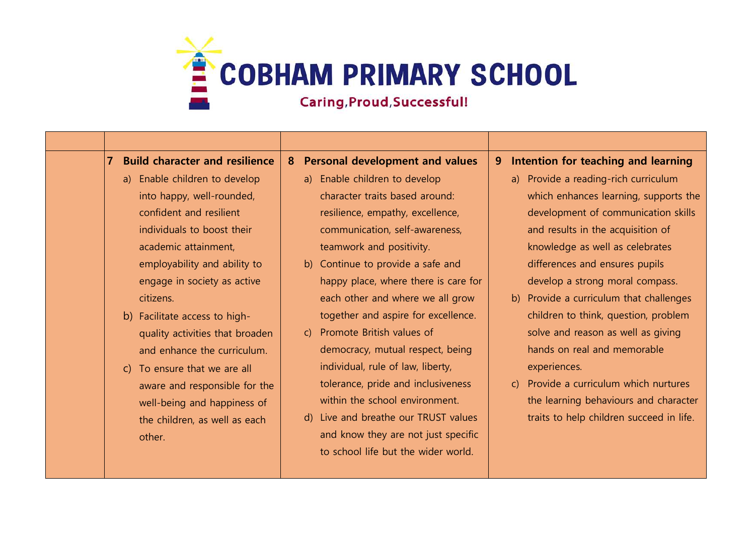

| $\overline{7}$<br><b>Build character and resilience</b> | <b>Personal development and values</b><br>8 <sup>°</sup> | Intention for teaching and learning<br>9.           |
|---------------------------------------------------------|----------------------------------------------------------|-----------------------------------------------------|
| a) Enable children to develop                           | a) Enable children to develop                            | a) Provide a reading-rich curriculum                |
| into happy, well-rounded,                               | character traits based around:                           | which enhances learning, supports the               |
| confident and resilient                                 | resilience, empathy, excellence,                         | development of communication skills                 |
| individuals to boost their                              | communication, self-awareness,                           | and results in the acquisition of                   |
| academic attainment,                                    | teamwork and positivity.                                 | knowledge as well as celebrates                     |
| employability and ability to                            | b) Continue to provide a safe and                        | differences and ensures pupils                      |
| engage in society as active                             | happy place, where there is care for                     | develop a strong moral compass.                     |
| citizens.                                               | each other and where we all grow                         | b) Provide a curriculum that challenges             |
| b) Facilitate access to high-                           | together and aspire for excellence.                      | children to think, question, problem                |
| quality activities that broaden                         | c) Promote British values of                             | solve and reason as well as giving                  |
| and enhance the curriculum.                             | democracy, mutual respect, being                         | hands on real and memorable                         |
| To ensure that we are all<br>$\mathsf{C}$               | individual, rule of law, liberty,                        | experiences.                                        |
| aware and responsible for the                           | tolerance, pride and inclusiveness                       | Provide a curriculum which nurtures<br>$\mathsf{C}$ |
| well-being and happiness of                             | within the school environment.                           | the learning behaviours and character               |
| the children, as well as each                           | d) Live and breathe our TRUST values                     | traits to help children succeed in life.            |
| other.                                                  | and know they are not just specific                      |                                                     |
|                                                         | to school life but the wider world.                      |                                                     |
|                                                         |                                                          |                                                     |